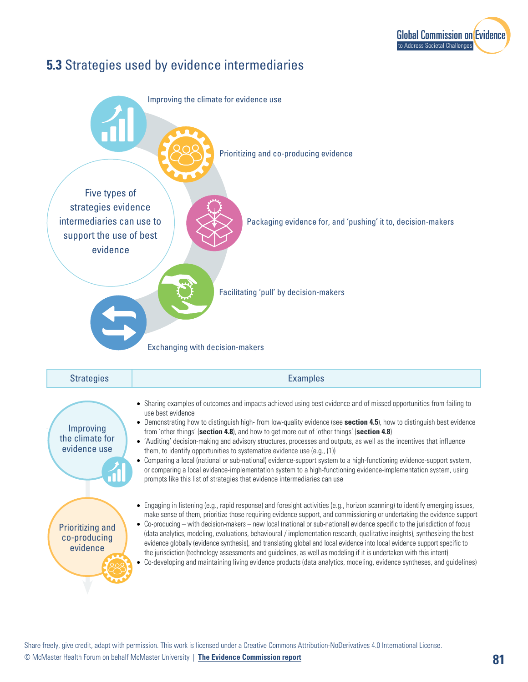

## **5.3** Strategies used by evidence intermediaries